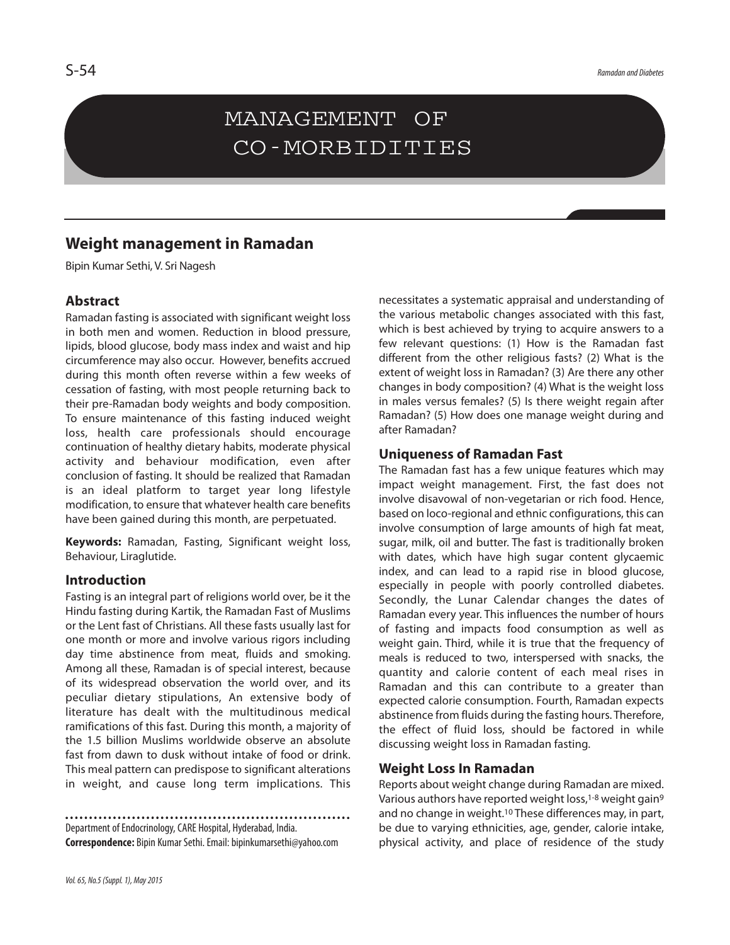# MANAGEMENT OF CO-MORBIDITIES

# **Weight management in Ramadan**

Bipin Kumar Sethi, V. Sri Nagesh

#### **Abstract**

Ramadan fasting is associated with significant weight loss in both men and women. Reduction in blood pressure, lipids, blood glucose, body mass index and waist and hip circumference may also occur. However, benefits accrued during this month often reverse within a few weeks of cessation of fasting, with most people returning back to their pre-Ramadan body weights and body composition. To ensure maintenance of this fasting induced weight loss, health care professionals should encourage continuation of healthy dietary habits, moderate physical activity and behaviour modification, even after conclusion of fasting. It should be realized that Ramadan is an ideal platform to target year long lifestyle modification, to ensure that whatever health care benefits have been gained during this month, are perpetuated.

**Keywords:** Ramadan, Fasting, Significant weight loss, Behaviour, Liraglutide.

#### **Introduction**

Fasting is an integral part of religions world over, be it the Hindu fasting during Kartik, the Ramadan Fast of Muslims or the Lent fast of Christians. All these fasts usually last for one month or more and involve various rigors including day time abstinence from meat, fluids and smoking. Among all these, Ramadan is of special interest, because of its widespread observation the world over, and its peculiar dietary stipulations, An extensive body of literature has dealt with the multitudinous medical ramifications of this fast. During this month, a majority of the 1.5 billion Muslims worldwide observe an absolute fast from dawn to dusk without intake of food or drink. This meal pattern can predispose to significant alterations in weight, and cause long term implications. This

Department of Endocrinology, CARE Hospital, Hyderabad, India. **Correspondence:** Bipin KumarSethi.Email:bipinkumarsethi@yahoo.com necessitates a systematic appraisal and understanding of the various metabolic changes associated with this fast, which is best achieved by trying to acquire answers to a few relevant questions: (1) How is the Ramadan fast different from the other religious fasts? (2) What is the extent of weight loss in Ramadan? (3) Are there any other changes in body composition? (4) What is the weight loss in males versus females? (5) Is there weight regain after Ramadan? (5) How does one manage weight during and after Ramadan?

#### **Uniqueness of Ramadan Fast**

The Ramadan fast has a few unique features which may impact weight management. First, the fast does not involve disavowal of non-vegetarian or rich food. Hence, based on loco-regional and ethnic configurations, this can involve consumption of large amounts of high fat meat, sugar, milk, oil and butter. The fast is traditionally broken with dates, which have high sugar content glycaemic index, and can lead to a rapid rise in blood glucose, especially in people with poorly controlled diabetes. Secondly, the Lunar Calendar changes the dates of Ramadan every year. This influences the number of hours of fasting and impacts food consumption as well as weight gain. Third, while it is true that the frequency of meals is reduced to two, interspersed with snacks, the quantity and calorie content of each meal rises in Ramadan and this can contribute to a greater than expected calorie consumption. Fourth, Ramadan expects abstinence from fluids during the fasting hours. Therefore, the effect of fluid loss, should be factored in while discussing weight loss in Ramadan fasting.

#### **Weight Loss In Ramadan**

Reports about weight change during Ramadan are mixed. Various authors have reported weight loss,<sup>1-8</sup> weight gain<sup>9</sup> and no change in weight. <sup>10</sup> These differences may, in part, be due to varying ethnicities, age, gender, calorie intake, physical activity, and place of residence of the study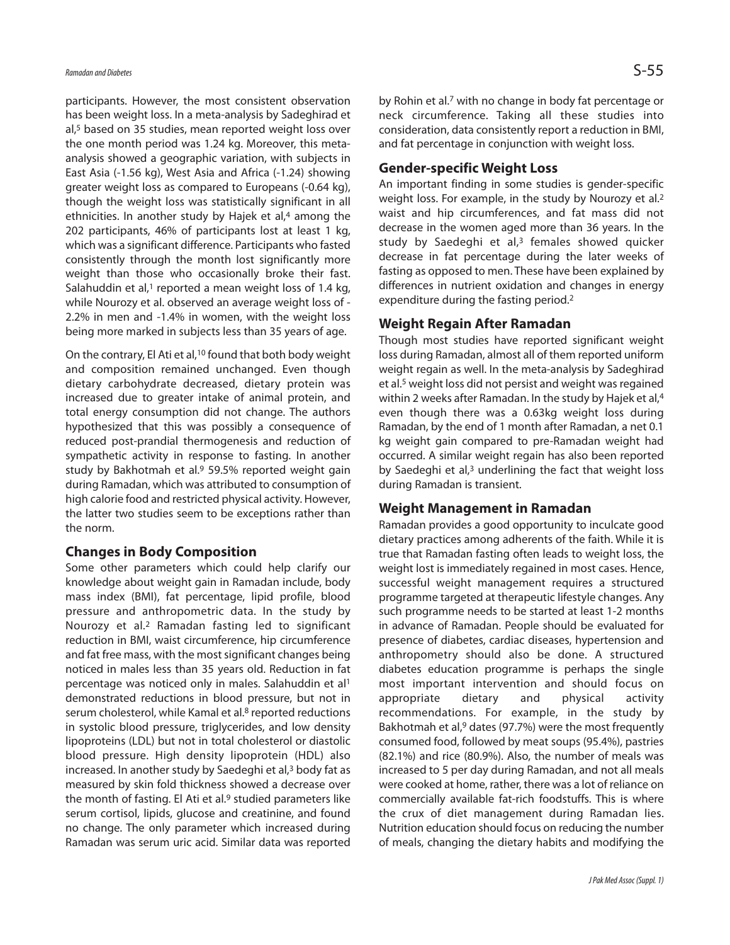participants. However, the most consistent observation has been weight loss. In a meta-analysis by Sadeghirad et al, <sup>5</sup> based on 35 studies, mean reported weight loss over the one month period was 1.24 kg. Moreover, this metaanalysis showed a geographic variation, with subjects in East Asia (-1.56 kg), West Asia and Africa (-1.24) showing greater weight loss as compared to Europeans (-0.64 kg), though the weight loss was statistically significant in all ethnicities. In another study by Hajek et al, <sup>4</sup> among the 202 participants, 46% of participants lost at least 1 kg, which was a significant difference. Participants who fasted consistently through the month lost significantly more weight than those who occasionally broke their fast. Salahuddin et al,<sup>1</sup> reported a mean weight loss of 1.4 kg, while Nourozy et al. observed an average weight loss of - 2.2% in men and -1.4% in women, with the weight loss being more marked in subjects less than 35 years of age.

On the contrary, El Ati et al,<sup>10</sup> found that both body weight and composition remained unchanged. Even though dietary carbohydrate decreased, dietary protein was increased due to greater intake of animal protein, and total energy consumption did not change. The authors hypothesized that this was possibly a consequence of reduced post-prandial thermogenesis and reduction of sympathetic activity in response to fasting. In another study by Bakhotmah et al. <sup>9</sup> 59.5% reported weight gain during Ramadan, which was attributed to consumption of high calorie food and restricted physical activity. However, the latter two studies seem to be exceptions rather than the norm.

#### **Changes in Body Composition**

Some other parameters which could help clarify our knowledge about weight gain in Ramadan include, body mass index (BMI), fat percentage, lipid profile, blood pressure and anthropometric data. In the study by Nourozy et al. <sup>2</sup> Ramadan fasting led to significant reduction in BMI, waist circumference, hip circumference and fat free mass, with the most significant changes being noticed in males less than 35 years old. Reduction in fat percentage was noticed only in males. Salahuddin et al<sup>1</sup> demonstrated reductions in blood pressure, but not in serum cholesterol, while Kamal et al. <sup>8</sup> reported reductions in systolic blood pressure, triglycerides, and low density lipoproteins (LDL) but not in total cholesterol or diastolic blood pressure. High density lipoprotein (HDL) also increased. In another study by Saedeghi et al, <sup>3</sup> body fat as measured by skin fold thickness showed a decrease over the month of fasting. El Ati et al. <sup>9</sup> studied parameters like serum cortisol, lipids, glucose and creatinine, and found no change. The only parameter which increased during Ramadan was serum uric acid. Similar data was reported

by Rohin et al. <sup>7</sup> with no change in body fat percentage or neck circumference. Taking all these studies into consideration, data consistently report a reduction in BMI, and fat percentage in conjunction with weight loss.

# **Gender-specific Weight Loss**

An important finding in some studies is gender-specific weight loss. For example, in the study by Nourozy et al.<sup>2</sup> waist and hip circumferences, and fat mass did not decrease in the women aged more than 36 years. In the study by Saedeghi et al, <sup>3</sup> females showed quicker decrease in fat percentage during the later weeks of fasting as opposed to men. These have been explained by differences in nutrient oxidation and changes in energy expenditure during the fasting period. 2

# **Weight Regain After Ramadan**

Though most studies have reported significant weight loss during Ramadan, almost all of them reported uniform weight regain as well. In the meta-analysis by Sadeghirad et al. <sup>5</sup> weight loss did not persist and weight wasregained within 2 weeks after Ramadan. In the study by Hajek et al, 4 even though there was a 0.63kg weight loss during Ramadan, by the end of 1 month after Ramadan, a net 0.1 kg weight gain compared to pre-Ramadan weight had occurred. A similar weight regain has also been reported by Saedeghi et al, <sup>3</sup> underlining the fact that weight loss during Ramadan is transient.

# **Weight Management in Ramadan**

Ramadan provides a good opportunity to inculcate good dietary practices among adherents of the faith. While it is true that Ramadan fasting often leads to weight loss, the weight lost is immediately regained in most cases. Hence, successful weight management requires a structured programme targeted at therapeutic lifestyle changes. Any such programme needs to be started at least 1-2 months in advance of Ramadan. People should be evaluated for presence of diabetes, cardiac diseases, hypertension and anthropometry should also be done. A structured diabetes education programme is perhaps the single most important intervention and should focus on appropriate dietary and physical activity recommendations. For example, in the study by Bakhotmah et al, <sup>9</sup> dates (97.7%) were the most frequently consumed food, followed by meat soups (95.4%), pastries (82.1%) and rice (80.9%). Also, the number of meals was increased to 5 per day during Ramadan, and not all meals were cooked at home, rather, there was a lot of reliance on commercially available fat-rich foodstuffs. This is where the crux of diet management during Ramadan lies. Nutrition education should focus on reducing the number of meals, changing the dietary habits and modifying the